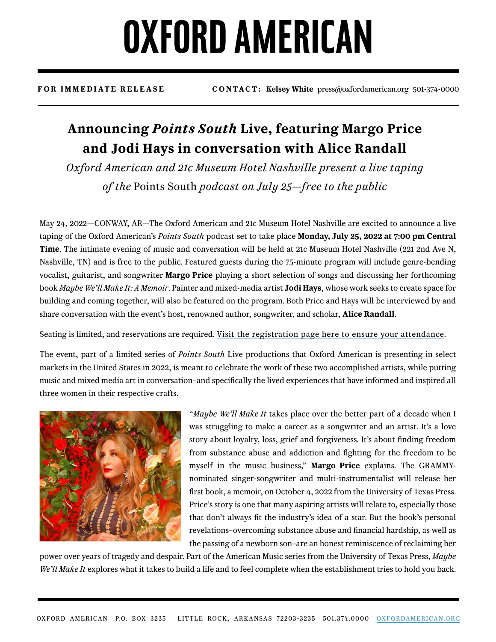## **OXFORD AMERICAN**

**FOR IMMEDIATE RELEASE CONTACT: Kelsey White** press@oxfordamerican.org 501-374-0000

### **Announcing** *Points South* **Live, featuring Margo Price and Jodi Hays in conversation with Alice Randall**

*Oxford American and 21c Museum Hotel Nashville present a live taping of the* Points South *podcast on July 25—free to the public*

May 24, 2022—CONWAY, AR—The Oxford American and 21c Museum Hotel Nashville are excited to announce a live taping of the Oxford American's *Points South* podcast set to take place **Monday, July 25, 2022 at 7:00 pm Central Time**. The intimate evening of music and conversation will be held at 21c Museum Hotel Nashville (221 2nd Ave N, Nashville, TN) and is free to the public. Featured guests during the 75-minute program will include genre-bending vocalist, guitarist, and songwriter **Margo Price** playing a short selection of songs and discussing her forthcoming book *Maybe We'll Make It: A Memoir*. Painter and mixed-media artist **Jodi Hays**, whose work seeks to create space for building and coming together, will also be featured on the program. Both Price and Hays will be interviewed by and share conversation with the event's host, renowned author, songwriter, and scholar, **Alice Randall**.

Seating is limited, and reservations are required. [Visit the registration page here to ensure your attendance.](https://www.eventbrite.com/e/points-south-live-nashville-tickets-344272356887)

The event, part of a limited series of *Points South* Live productions that Oxford American is presenting in select markets in the United States in 2022, is meant to celebrate the work of these two accomplished artists, while putting music and mixed media art in conversation–and specifically the lived experiences that have informed and inspired all three women in their respective crafts.



"*Maybe We'll Make It* takes place over the better part of a decade when I was struggling to make a career as a songwriter and an artist. It's a love story about loyalty, loss, grief and forgiveness. It's about finding freedom from substance abuse and addiction and fighting for the freedom to be myself in the music business," **Margo Price** explains. The GRAMMYnominated singer-songwriter and multi-instrumentalist will release her first book, a memoir, on October 4, 2022 from the University of Texas Press. Price's story is one that many aspiring artists will relate to, especially those that don't always fit the industry's idea of a star. But the book's personal revelations–overcoming substance abuse and financial hardship, as well as the passing of a newborn son–are an honest reminiscence of reclaiming her

power over years of tragedy and despair. Part of the American Music series from the University of Texas Press, *Maybe We'll Make It* explores what it takes to build a life and to feel complete when the establishment tries to hold you back.